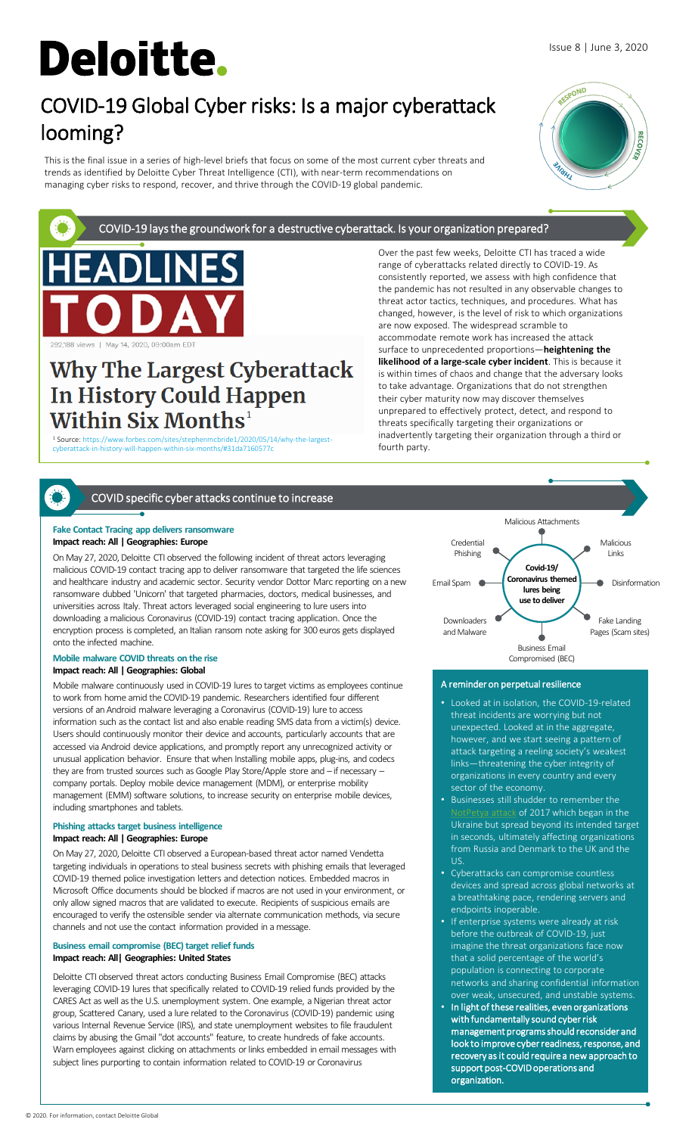# **Deloitte.**

# COVID-19 Global Cyber risks: Is a major cyberattack looming?

This is the final issue in a series of high-level briefs that focus on some of the most current cyber threats and trends as identified by Deloitte Cyber Threat Intelligence (CTI), with near-term recommendations on managing cyber risks to respond, recover, and thrive through the COVID-19 global pandemic.



Issue 8 | June 3, 2020

COVID-19 lays the groundwork for a destructive cyberattack. Is your organization prepared?



## **Why The Largest Cyberattack** In History Could Happen **Within Six Months1**

<sup>1</sup> Source: https://www.forbes.com/sites/stephenmcbride1/2020/05/14/why-the-largestcyberattack-in-history-will-happen-within-six-months/#31da7160577c

Over the past few weeks, Deloitte CTI has traced a wide range of cyberattacks related directly to COVID-19. As consistently reported, we assess with high confidence that the pandemic has not resulted in any observable changes to threat actor tactics, techniques, and procedures. What has changed, however, is the level of risk to which organizations are now exposed. The widespread scramble to accommodate remote work has increased the attack surface to unprecedented proportions—**heightening the likelihood of a large-scale cyber incident**. This is because it is within times of chaos and change that the adversary looks to take advantage. Organizations that do not strengthen their cyber maturity now may discover themselves unprepared to effectively protect, detect, and respond to threats specifically targeting their organizations or inadvertently targeting their organization through a third or fourth party.

### COVID specific cyber attacks continue to increase

### **Fake Contact Tracing app delivers ransomware Impact reach: All | Geographies: Europe**

On May 27, 2020, Deloitte CTI observed the following incident of threat actors leveraging malicious COVID-19 contact tracing app to deliver ransomware that targeted the life sciences and healthcare industry and academic sector. Security vendor Dottor Marc reporting on a new ransomware dubbed 'Unicorn' that targeted pharmacies, doctors, medical businesses, and universities across Italy. Threat actors leveraged social engineering to lure users into downloading a malicious Coronavirus (COVID-19) contact tracing application. Once the encryption process is completed, an Italian ransom note asking for 300 euros gets displayed onto the infected machine.

### **Mobile malware COVID threats on the rise Impact reach: All | Geographies: Global**

Mobile malware continuously used in COVID-19 lures to target victims as employees continue to work from home amid the COVID-19 pandemic. Researchers identified four different versions of an Android malware leveraging a Coronavirus (COVID-19) lure to access information such as the contact list and also enable reading SMS data from a victim(s) device. Users should continuously monitor their device and accounts, particularly accounts that are accessed via Android device applications, and promptly report any unrecognized activity or unusual application behavior. Ensure that when Installing mobile apps, plug-ins, and codecs they are from trusted sources such as Google Play Store/Apple store and – if necessary – company portals. Deploy mobile device management (MDM), or enterprise mobility management (EMM) software solutions, to increase security on enterprise mobile devices, including smartphones and tablets.

### **Phishing attacks target business intelligence Impact reach: All | Geographies: Europe**

On May 27, 2020, Deloitte CTI observed a European-based threat actor named Vendetta targeting individuals in operations to steal business secrets with phishing emails that leveraged COVID-19 themed police investigation letters and detection notices. Embedded macros in Microsoft Office documents should be blocked if macros are not used in your environment, or only allow signed macros that are validated to execute. Recipients of suspicious emails are encouraged to verify the ostensible sender via alternate communication methods, via secure channels and not use the contact information provided in a message.

### **Business email compromise (BEC) target relief funds Impact reach: All| Geographies: United States**

Deloitte CTI observed threat actors conducting Business Email Compromise (BEC) attacks leveraging COVID-19 lures that specifically related to COVID-19 relied funds provided by the CARES Act as well as the U.S. unemployment system. One example, a Nigerian threat actor group, Scattered Canary, used a lure related to the Coronavirus (COVID-19) pandemic using various Internal Revenue Service (IRS), and state unemployment websites to file fraudulent claims by abusing the Gmail "dot accounts" feature, to create hundreds of fake accounts. Warn employees against clicking on attachments or links embedded in email messages with subject lines purporting to contain information related to COVID-19 or Coronavirus



### A reminder on perpetual resilience

- Looked at in isolation, the COVID-19-related threat incidents are worrying but not unexpected. Looked at in the aggregate, however, and we start seeing a pattern of attack targeting a reeling society's weakest links—threatening the cyber integrity of organizations in every country and every sector of the economy.
- Businesses still shudder to remember the  $\underline{k}$  of 2017 which began in the Ukraine but spread beyond its intended target in seconds, ultimately affecting organizations from Russia and Denmark to the UK and the US.
- Cyberattacks can compromise countless devices and spread across global networks at a breathtaking pace, rendering servers and endpoints inoperable.
- If enterprise systems were already at risk before the outbreak of COVID-19, just imagine the threat organizations face now that a solid percentage of the world's population is connecting to corporate networks and sharing confidential information  $\cdot$  weak, unsecured, and unstable systems.
- In light of these realities, even organizations with fundamentally sound cyber risk management programs should reconsider and look to improve cyber readiness, response, and recovery as it could require a new approach to support post-COVID operations and organization.